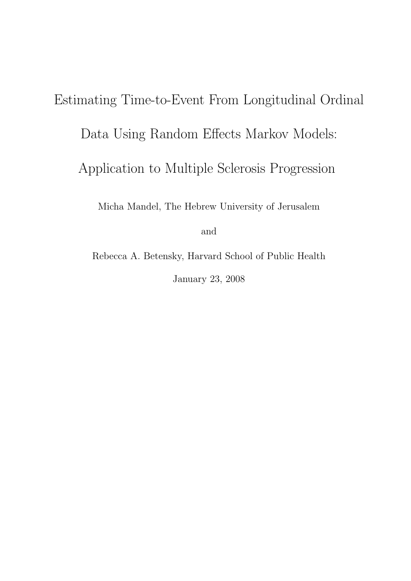# Estimating Time-to-Event From Longitudinal Ordinal Data Using Random Effects Markov Models: Application to Multiple Sclerosis Progression Micha Mandel, The Hebrew University of Jerusalem

and

Rebecca A. Betensky, Harvard School of Public Health January 23, 2008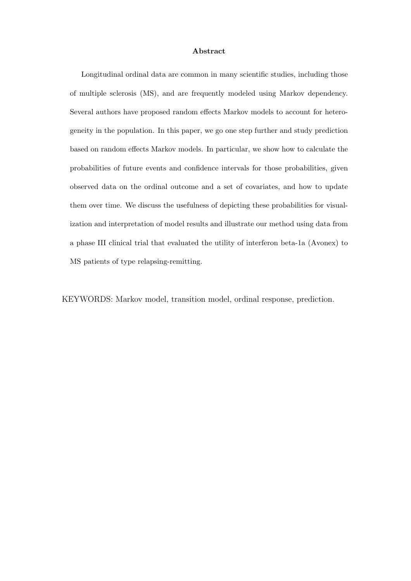#### Abstract

Longitudinal ordinal data are common in many scientific studies, including those of multiple sclerosis (MS), and are frequently modeled using Markov dependency. Several authors have proposed random effects Markov models to account for heterogeneity in the population. In this paper, we go one step further and study prediction based on random effects Markov models. In particular, we show how to calculate the probabilities of future events and confidence intervals for those probabilities, given observed data on the ordinal outcome and a set of covariates, and how to update them over time. We discuss the usefulness of depicting these probabilities for visualization and interpretation of model results and illustrate our method using data from a phase III clinical trial that evaluated the utility of interferon beta-1a (Avonex) to MS patients of type relapsing-remitting.

KEYWORDS: Markov model, transition model, ordinal response, prediction.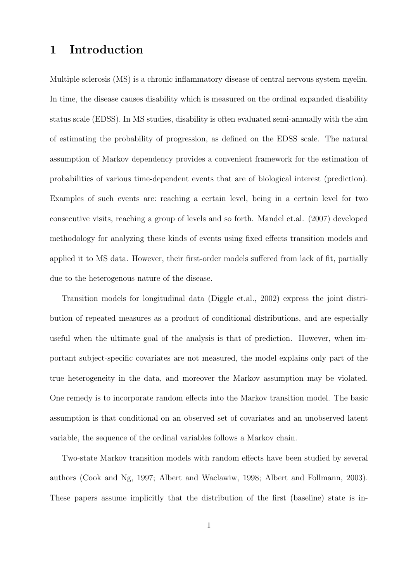### 1 Introduction

Multiple sclerosis (MS) is a chronic inflammatory disease of central nervous system myelin. In time, the disease causes disability which is measured on the ordinal expanded disability status scale (EDSS). In MS studies, disability is often evaluated semi-annually with the aim of estimating the probability of progression, as defined on the EDSS scale. The natural assumption of Markov dependency provides a convenient framework for the estimation of probabilities of various time-dependent events that are of biological interest (prediction). Examples of such events are: reaching a certain level, being in a certain level for two consecutive visits, reaching a group of levels and so forth. Mandel et.al. (2007) developed methodology for analyzing these kinds of events using fixed effects transition models and applied it to MS data. However, their first-order models suffered from lack of fit, partially due to the heterogenous nature of the disease.

Transition models for longitudinal data (Diggle et.al., 2002) express the joint distribution of repeated measures as a product of conditional distributions, and are especially useful when the ultimate goal of the analysis is that of prediction. However, when important subject-specific covariates are not measured, the model explains only part of the true heterogeneity in the data, and moreover the Markov assumption may be violated. One remedy is to incorporate random effects into the Markov transition model. The basic assumption is that conditional on an observed set of covariates and an unobserved latent variable, the sequence of the ordinal variables follows a Markov chain.

Two-state Markov transition models with random effects have been studied by several authors (Cook and Ng, 1997; Albert and Waclawiw, 1998; Albert and Follmann, 2003). These papers assume implicitly that the distribution of the first (baseline) state is in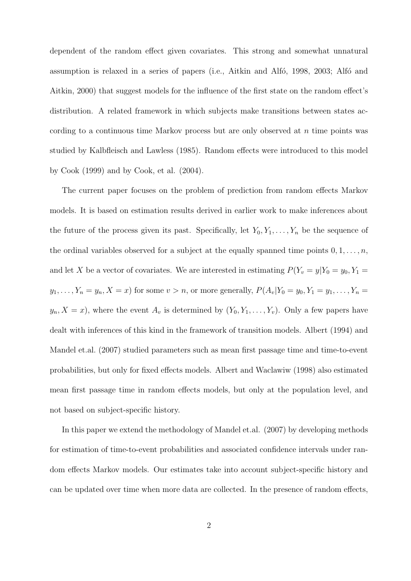dependent of the random effect given covariates. This strong and somewhat unnatural assumption is relaxed in a series of papers (i.e., Aitkin and Alfo, 1998, 2003; Alfo and Aitkin, 2000) that suggest models for the influence of the first state on the random effect's distribution. A related framework in which subjects make transitions between states according to a continuous time Markov process but are only observed at  $n$  time points was studied by Kalbfleisch and Lawless (1985). Random effects were introduced to this model by Cook (1999) and by Cook, et al. (2004).

The current paper focuses on the problem of prediction from random effects Markov models. It is based on estimation results derived in earlier work to make inferences about the future of the process given its past. Specifically, let  $Y_0, Y_1, \ldots, Y_n$  be the sequence of the ordinal variables observed for a subject at the equally spanned time points  $0, 1, \ldots, n$ , and let X be a vector of covariates. We are interested in estimating  $P(Y_v = y | Y_0 = y_0, Y_1 = y_0)$  $y_1, \ldots, Y_n = y_n, X = x$  for some  $v > n$ , or more generally,  $P(A_v|Y_0 = y_0, Y_1 = y_1, \ldots, Y_n = y_n)$  $y_n, X = x$ , where the event  $A_v$  is determined by  $(Y_0, Y_1, \ldots, Y_v)$ . Only a few papers have dealt with inferences of this kind in the framework of transition models. Albert (1994) and Mandel et.al. (2007) studied parameters such as mean first passage time and time-to-event probabilities, but only for fixed effects models. Albert and Waclawiw (1998) also estimated mean first passage time in random effects models, but only at the population level, and not based on subject-specific history.

In this paper we extend the methodology of Mandel et.al. (2007) by developing methods for estimation of time-to-event probabilities and associated confidence intervals under random effects Markov models. Our estimates take into account subject-specific history and can be updated over time when more data are collected. In the presence of random effects,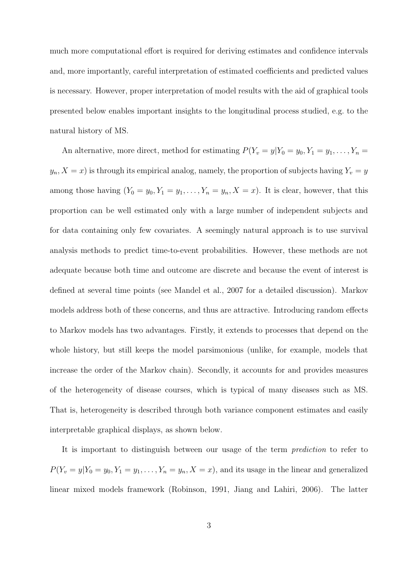much more computational effort is required for deriving estimates and confidence intervals and, more importantly, careful interpretation of estimated coefficients and predicted values is necessary. However, proper interpretation of model results with the aid of graphical tools presented below enables important insights to the longitudinal process studied, e.g. to the natural history of MS.

An alternative, more direct, method for estimating  $P(Y_v = y | Y_0 = y_0, Y_1 = y_1, \ldots, Y_n = y_n)$  $y_n, X = x$ ) is through its empirical analog, namely, the proportion of subjects having  $Y_v = y$ among those having  $(Y_0 = y_0, Y_1 = y_1, \ldots, Y_n = y_n, X = x)$ . It is clear, however, that this proportion can be well estimated only with a large number of independent subjects and for data containing only few covariates. A seemingly natural approach is to use survival analysis methods to predict time-to-event probabilities. However, these methods are not adequate because both time and outcome are discrete and because the event of interest is defined at several time points (see Mandel et al., 2007 for a detailed discussion). Markov models address both of these concerns, and thus are attractive. Introducing random effects to Markov models has two advantages. Firstly, it extends to processes that depend on the whole history, but still keeps the model parsimonious (unlike, for example, models that increase the order of the Markov chain). Secondly, it accounts for and provides measures of the heterogeneity of disease courses, which is typical of many diseases such as MS. That is, heterogeneity is described through both variance component estimates and easily interpretable graphical displays, as shown below.

It is important to distinguish between our usage of the term prediction to refer to  $P(Y_v = y | Y_0 = y_0, Y_1 = y_1, \ldots, Y_n = y_n, X = x)$ , and its usage in the linear and generalized linear mixed models framework (Robinson, 1991, Jiang and Lahiri, 2006). The latter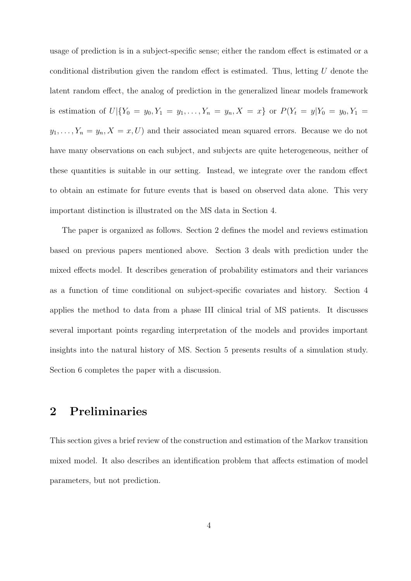usage of prediction is in a subject-specific sense; either the random effect is estimated or a conditional distribution given the random effect is estimated. Thus, letting  $U$  denote the latent random effect, the analog of prediction in the generalized linear models framework is estimation of  $U|\{Y_0 = y_0, Y_1 = y_1, \ldots, Y_n = y_n, X = x\}$  or  $P(Y_t = y|Y_0 = y_0, Y_1 = y_0, Y_1 = y_1, \ldots, Y_n = y_n\})$  $y_1, \ldots, Y_n = y_n, X = x, U$  and their associated mean squared errors. Because we do not have many observations on each subject, and subjects are quite heterogeneous, neither of these quantities is suitable in our setting. Instead, we integrate over the random effect to obtain an estimate for future events that is based on observed data alone. This very important distinction is illustrated on the MS data in Section 4.

The paper is organized as follows. Section 2 defines the model and reviews estimation based on previous papers mentioned above. Section 3 deals with prediction under the mixed effects model. It describes generation of probability estimators and their variances as a function of time conditional on subject-specific covariates and history. Section 4 applies the method to data from a phase III clinical trial of MS patients. It discusses several important points regarding interpretation of the models and provides important insights into the natural history of MS. Section 5 presents results of a simulation study. Section 6 completes the paper with a discussion.

## 2 Preliminaries

This section gives a brief review of the construction and estimation of the Markov transition mixed model. It also describes an identification problem that affects estimation of model parameters, but not prediction.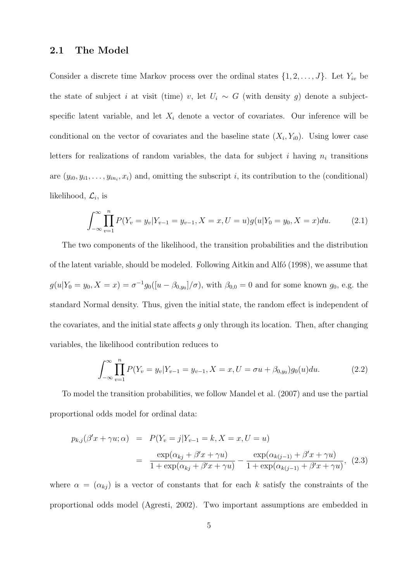#### 2.1 The Model

Consider a discrete time Markov process over the ordinal states  $\{1, 2, \ldots, J\}$ . Let  $Y_{iv}$  be the state of subject i at visit (time) v, let  $U_i \sim G$  (with density g) denote a subjectspecific latent variable, and let  $X_i$  denote a vector of covariates. Our inference will be conditional on the vector of covariates and the baseline state  $(X_i, Y_{i0})$ . Using lower case letters for realizations of random variables, the data for subject i having  $n_i$  transitions are  $(y_{i0}, y_{i1}, \ldots, y_{in_i}, x_i)$  and, omitting the subscript i, its contribution to the (conditional) likelihood,  $\mathcal{L}_i$ , is

$$
\int_{-\infty}^{\infty} \prod_{v=1}^{n} P(Y_v = y_v | Y_{v-1} = y_{v-1}, X = x, U = u) g(u | Y_0 = y_0, X = x) du.
$$
 (2.1)

The two components of the likelihood, the transition probabilities and the distribution of the latent variable, should be modeled. Following Aitkin and Alfo  $(1998)$ , we assume that  $g(u|Y_0 = y_0, X = x) = \sigma^{-1} g_0([u - \beta_{0,y_0}]/\sigma)$ , with  $\beta_{0,0} = 0$  and for some known  $g_0$ , e.g. the standard Normal density. Thus, given the initial state, the random effect is independent of the covariates, and the initial state affects  $q$  only through its location. Then, after changing variables, the likelihood contribution reduces to

$$
\int_{-\infty}^{\infty} \prod_{v=1}^{n} P(Y_v = y_v | Y_{v-1} = y_{v-1}, X = x, U = \sigma u + \beta_{0,y_0}) g_0(u) du.
$$
 (2.2)

To model the transition probabilities, we follow Mandel et al. (2007) and use the partial proportional odds model for ordinal data:

$$
p_{k,j}(\beta' x + \gamma u; \alpha) = P(Y_v = j | Y_{v-1} = k, X = x, U = u)
$$
  
= 
$$
\frac{\exp(\alpha_{kj} + \beta' x + \gamma u)}{1 + \exp(\alpha_{kj} + \beta' x + \gamma u)} - \frac{\exp(\alpha_{k(j-1)} + \beta' x + \gamma u)}{1 + \exp(\alpha_{k(j-1)} + \beta' x + \gamma u)},
$$
(2.3)

where  $\alpha = (\alpha_{kj})$  is a vector of constants that for each k satisfy the constraints of the proportional odds model (Agresti, 2002). Two important assumptions are embedded in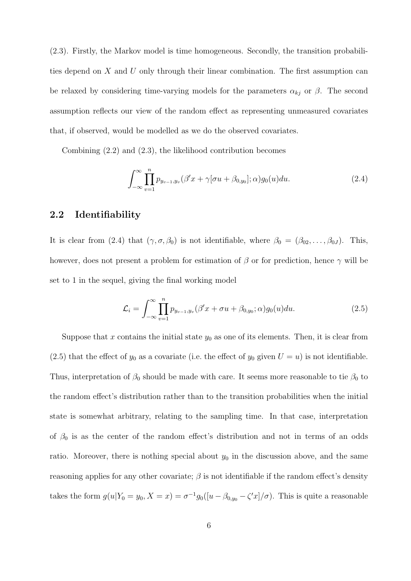(2.3). Firstly, the Markov model is time homogeneous. Secondly, the transition probabilities depend on X and U only through their linear combination. The first assumption can be relaxed by considering time-varying models for the parameters  $\alpha_{kj}$  or  $\beta$ . The second assumption reflects our view of the random effect as representing unmeasured covariates that, if observed, would be modelled as we do the observed covariates.

Combining (2.2) and (2.3), the likelihood contribution becomes

$$
\int_{-\infty}^{\infty} \prod_{v=1}^{n} p_{y_{v-1},y_v}(\beta' x + \gamma[\sigma u + \beta_{0,y_0}]; \alpha) g_0(u) du.
$$
 (2.4)

#### 2.2 Identifiability

It is clear from (2.4) that  $(\gamma, \sigma, \beta_0)$  is not identifiable, where  $\beta_0 = (\beta_{02}, \dots, \beta_{0J})$ . This, however, does not present a problem for estimation of  $\beta$  or for prediction, hence  $\gamma$  will be set to 1 in the sequel, giving the final working model

$$
\mathcal{L}_i = \int_{-\infty}^{\infty} \prod_{v=1}^n p_{y_{v-1}, y_v} (\beta' x + \sigma u + \beta_{0, y_0}; \alpha) g_0(u) du.
$$
 (2.5)

Suppose that x contains the initial state  $y_0$  as one of its elements. Then, it is clear from (2.5) that the effect of  $y_0$  as a covariate (i.e. the effect of  $y_0$  given  $U = u$ ) is not identifiable. Thus, interpretation of  $\beta_0$  should be made with care. It seems more reasonable to tie  $\beta_0$  to the random effect's distribution rather than to the transition probabilities when the initial state is somewhat arbitrary, relating to the sampling time. In that case, interpretation of  $\beta_0$  is as the center of the random effect's distribution and not in terms of an odds ratio. Moreover, there is nothing special about  $y_0$  in the discussion above, and the same reasoning applies for any other covariate;  $\beta$  is not identifiable if the random effect's density takes the form  $g(u|Y_0 = y_0, X = x) = \sigma^{-1} g_0([u - \beta_{0,y_0} - \zeta' x]/\sigma)$ . This is quite a reasonable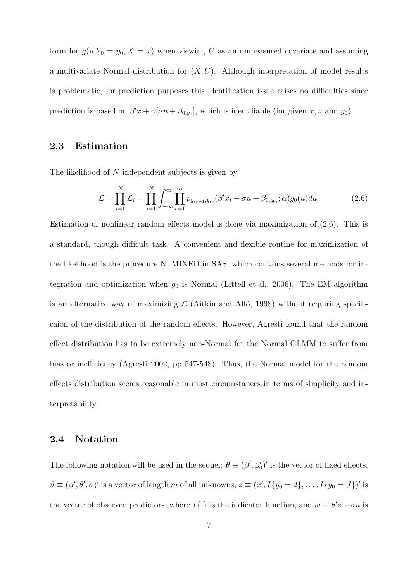form for  $g(u|Y_0 = y_0, X = x)$  when viewing U as an unmeasured covariate and assuming a multivariate Normal distribution for  $(X, U)$ . Although interpretation of model results is problematic, for prediction purposes this identification issue raises no difficulties since prediction is based on  $\beta' x + \gamma [\sigma u + \beta_{0,y_0}],$  which is identifiable (for given x, u and y<sub>0</sub>).

#### 2.3 Estimation

The likelihood of N independent subjects is given by

$$
\mathcal{L} = \prod_{i=1}^{N} \mathcal{L}_i = \prod_{i=1}^{N} \int_{-\infty}^{\infty} \prod_{v=1}^{n_i} p_{y_{iv-1}, y_{iv}} (\beta' x_i + \sigma u + \beta_{0, y_{0i}}; \alpha) g_0(u) du.
$$
 (2.6)

Estimation of nonlinear random effects model is done via maximization of (2.6). This is a standard, though difficult task. A convenient and flexible routine for maximization of the likelihood is the procedure NLMIXED in SAS, which contains several methods for integration and optimization when  $g_0$  is Normal (Littell et.al., 2006). The EM algorithm is an alternative way of maximizing  $\mathcal{L}$  (Aitkin and Alfó, 1998) without requiring specificaion of the distribution of the random effects. However, Agresti found that the random effect distribution has to be extremely non-Normal for the Normal GLMM to suffer from bias or inefficiency (Agresti 2002, pp 547-548). Thus, the Normal model for the random effects distribution seems reasonable in most circumstances in terms of simplicity and interpretability.

#### 2.4 Notation

The following notation will be used in the sequel:  $\theta \equiv (\beta', \beta'_0)'$  is the vector of fixed effects,  $\vartheta \equiv (\alpha', \theta', \sigma)'$  is a vector of length m of all unknowns,  $z \equiv (x', I\{y_0 = 2\}, \ldots, I\{y_0 = J\})'$  is the vector of observed predictors, where  $I\{\cdot\}$  is the indicator function, and  $w \equiv \theta'z + \sigma u$  is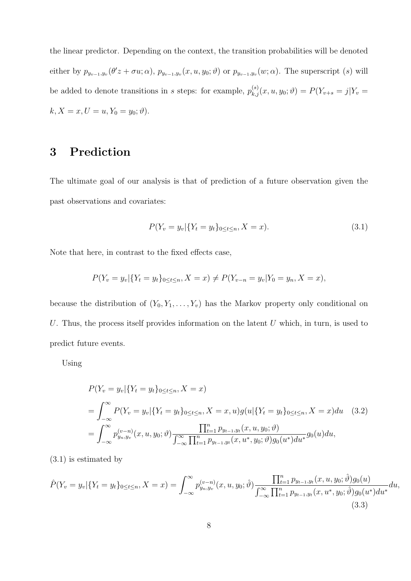the linear predictor. Depending on the context, the transition probabilities will be denoted either by  $p_{y_{v-1},y_v}(\theta'z + \sigma u; \alpha)$ ,  $p_{y_{v-1},y_v}(x, u, y_0; \theta)$  or  $p_{y_{v-1},y_v}(w; \alpha)$ . The superscript  $(s)$  will be added to denote transitions in s steps: for example,  $p_{k,j}^{(s)}(x, u, y_0; \vartheta) = P(Y_{v+s} = j | Y_v =$  $k, X = x, U = u, Y_0 = y_0; \vartheta$ .

## 3 Prediction

The ultimate goal of our analysis is that of prediction of a future observation given the past observations and covariates:

$$
P(Y_v = y_v | \{ Y_t = y_t \}_{0 \le t \le n}, X = x).
$$
\n(3.1)

Note that here, in contrast to the fixed effects case,

$$
P(Y_v = y_v | \{Y_t = y_t\}_{0 \le t \le n}, X = x) \neq P(Y_{v-n} = y_v | Y_0 = y_n, X = x),
$$

because the distribution of  $(Y_0, Y_1, \ldots, Y_v)$  has the Markov property only conditional on U. Thus, the process itself provides information on the latent  $U$  which, in turn, is used to predict future events.

Using

$$
P(Y_v = y_v | \{ Y_t = y_t \}_{0 \le t \le n}, X = x)
$$
  
= 
$$
\int_{-\infty}^{\infty} P(Y_v = y_v | \{ Y_t = y_t \}_{0 \le t \le n}, X = x, u) g(u | \{ Y_t = y_t \}_{0 \le t \le n}, X = x) du
$$
 (3.2)  
= 
$$
\int_{-\infty}^{\infty} p_{y_n, y_v}^{(v-n)}(x, u, y_0; \vartheta) \frac{\prod_{t=1}^n p_{y_{t-1}, y_t}(x, u, y_0; \vartheta)}{\int_{-\infty}^{\infty} \prod_{t=1}^n p_{y_{t-1}, y_t}(x, u^*, y_0; \vartheta) g_0(u^*) du^*} g_0(u) du,
$$

(3.1) is estimated by

$$
\hat{P}(Y_v = y_v | \{ Y_t = y_t \}_{0 \le t \le n}, X = x) = \int_{-\infty}^{\infty} p_{y_n, y_v}^{(v-n)}(x, u, y_0; \hat{\vartheta}) \frac{\prod_{t=1}^n p_{y_{t-1}, y_t}(x, u, y_0; \hat{\vartheta}) g_0(u)}{\int_{-\infty}^{\infty} \prod_{t=1}^n p_{y_{t-1}, y_t}(x, u^*, y_0; \hat{\vartheta}) g_0(u^*) du^*} du,
$$
\n(3.3)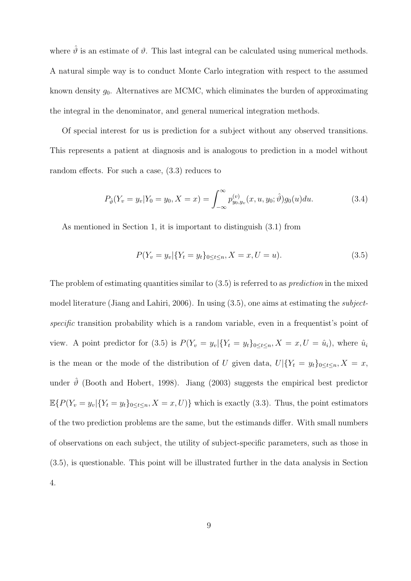where  $\hat{\theta}$  is an estimate of  $\theta$ . This last integral can be calculated using numerical methods. A natural simple way is to conduct Monte Carlo integration with respect to the assumed known density  $g_0$ . Alternatives are MCMC, which eliminates the burden of approximating the integral in the denominator, and general numerical integration methods.

Of special interest for us is prediction for a subject without any observed transitions. This represents a patient at diagnosis and is analogous to prediction in a model without random effects. For such a case, (3.3) reduces to

$$
P_{\hat{\vartheta}}(Y_v = y_v | Y_0 = y_0, X = x) = \int_{-\infty}^{\infty} p_{y_0, y_v}^{(v)}(x, u, y_0; \hat{\vartheta}) g_0(u) du.
$$
 (3.4)

As mentioned in Section 1, it is important to distinguish (3.1) from

$$
P(Y_v = y_v | \{ Y_t = y_t \}_{0 \le t \le n}, X = x, U = u).
$$
\n(3.5)

The problem of estimating quantities similar to  $(3.5)$  is referred to as *prediction* in the mixed model literature (Jiang and Lahiri, 2006). In using (3.5), one aims at estimating the subjectspecific transition probability which is a random variable, even in a frequentist's point of view. A point predictor for (3.5) is  $P(Y_v = y_v | \{Y_t = y_t\}_{0 \le t \le n}, X = x, U = \hat{u}_i)$ , where  $\hat{u}_i$ is the mean or the mode of the distribution of U given data,  $U|\{Y_t = y_t\}_{0 \le t \le n}, X = x$ , under  $\hat{\theta}$  (Booth and Hobert, 1998). Jiang (2003) suggests the empirical best predictor  $\mathbb{E}\{P(Y_v = y_v | \{Y_t = y_t\}_{0 \le t \le n}, X = x, U)\}\$  which is exactly (3.3). Thus, the point estimators of the two prediction problems are the same, but the estimands differ. With small numbers of observations on each subject, the utility of subject-specific parameters, such as those in (3.5), is questionable. This point will be illustrated further in the data analysis in Section 4.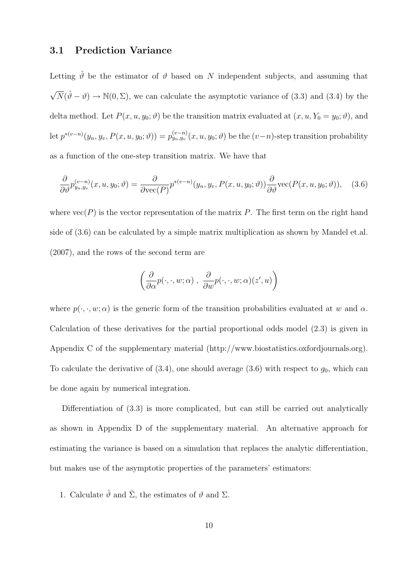#### 3.1 Prediction Variance

Letting  $\hat{\theta}$  be the estimator of  $\theta$  based on N independent subjects, and assuming that  $\sqrt{N}(\hat{\theta}-\theta) \to \mathbb{N}(0,\Sigma)$ , we can calculate the asymptotic variance of (3.3) and (3.4) by the delta method. Let  $P(x, u, y_0; \vartheta)$  be the transition matrix evaluated at  $(x, u, Y_0 = y_0; \vartheta)$ , and  $\mathrm{let}\ p^{*(v-n)}(y_n,y_v,P(x,u,y_0;\vartheta))=p^{(v-n)}_{y_n,y_v}(x,u,y_0;\vartheta)$  be the  $(v-n)$ -step transition probability as a function of the one-step transition matrix. We have that

$$
\frac{\partial}{\partial \vartheta} p_{y_n, y_v}^{(v-n)}(x, u, y_0; \vartheta) = \frac{\partial}{\partial \text{vec}(P)} p^{*(v-n)}(y_n, y_v, P(x, u, y_0; \vartheta)) \frac{\partial}{\partial \vartheta} \text{vec}(P(x, u, y_0; \vartheta)), \quad (3.6)
$$

where  $\text{vec}(P)$  is the vector representation of the matrix P. The first term on the right hand side of (3.6) can be calculated by a simple matrix multiplication as shown by Mandel et.al. (2007), and the rows of the second term are

$$
\left(\frac{\partial}{\partial \alpha}p(\cdot,\cdot,w;\alpha)\;,\;\frac{\partial}{\partial w}p(\cdot,\cdot,w;\alpha)(z',u)\right)
$$

where  $p(\cdot, \cdot, w; \alpha)$  is the generic form of the transition probabilities evaluated at w and  $\alpha$ . Calculation of these derivatives for the partial proportional odds model (2.3) is given in Appendix C of the supplementary material (http://www.biostatistics.oxfordjournals.org). To calculate the derivative of  $(3.4)$ , one should average  $(3.6)$  with respect to  $g_0$ , which can be done again by numerical integration.

Differentiation of (3.3) is more complicated, but can still be carried out analytically as shown in Appendix D of the supplementary material. An alternative approach for estimating the variance is based on a simulation that replaces the analytic differentiation, but makes use of the asymptotic properties of the parameters' estimators:

1. Calculate  $\hat{\vartheta}$  and  $\hat{\Sigma}$ , the estimates of  $\vartheta$  and  $\Sigma$ .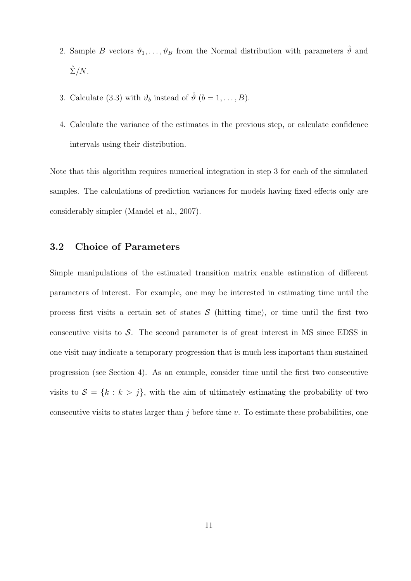- 2. Sample B vectors  $\vartheta_1, \ldots, \vartheta_B$  from the Normal distribution with parameters  $\hat{\vartheta}$  and  $\hat{\Sigma}/N$ .
- 3. Calculate (3.3) with  $\vartheta_b$  instead of  $\hat{\vartheta}$   $(b = 1, \ldots, B)$ .
- 4. Calculate the variance of the estimates in the previous step, or calculate confidence intervals using their distribution.

Note that this algorithm requires numerical integration in step 3 for each of the simulated samples. The calculations of prediction variances for models having fixed effects only are considerably simpler (Mandel et al., 2007).

#### 3.2 Choice of Parameters

Simple manipulations of the estimated transition matrix enable estimation of different parameters of interest. For example, one may be interested in estimating time until the process first visits a certain set of states  $S$  (hitting time), or time until the first two consecutive visits to  $\mathcal{S}$ . The second parameter is of great interest in MS since EDSS in one visit may indicate a temporary progression that is much less important than sustained progression (see Section 4). As an example, consider time until the first two consecutive visits to  $S = \{k : k > j\}$ , with the aim of ultimately estimating the probability of two consecutive visits to states larger than  $j$  before time  $v$ . To estimate these probabilities, one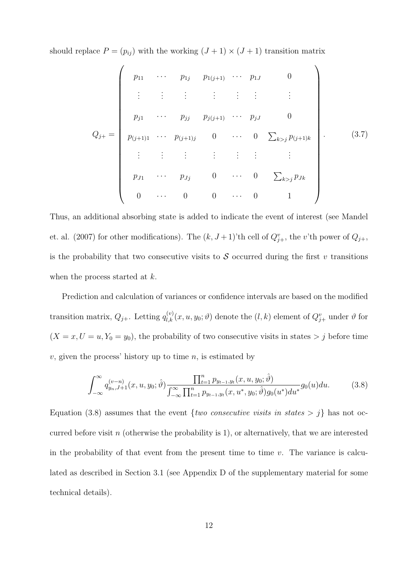should replace  $P = (p_{ij})$  with the working  $(J + 1) \times (J + 1)$  transition matrix

$$
Q_{j+} = \begin{pmatrix} p_{11} & \cdots & p_{1j} & p_{1(j+1)} & \cdots & p_{1J} & 0 \\ \vdots & \vdots & \vdots & \vdots & \vdots & \vdots & \vdots \\ p_{j1} & \cdots & p_{jj} & p_{j(j+1)} & \cdots & p_{jJ} & 0 \\ p_{(j+1)1} & \cdots & p_{(j+1)j} & 0 & \cdots & 0 & \sum_{k>j} p_{(j+1)k} \\ \vdots & \vdots & \vdots & \vdots & \vdots & \vdots & \vdots \\ p_{J1} & \cdots & p_{Jj} & 0 & \cdots & 0 & \sum_{k>j} p_{Jk} \\ 0 & \cdots & 0 & 0 & \cdots & 0 & 1 \end{pmatrix} .
$$
 (3.7)

Thus, an additional absorbing state is added to indicate the event of interest (see Mandel et. al. (2007) for other modifications). The  $(k, J+1)$ 'th cell of  $Q_{j+}^v$ , the v'th power of  $Q_{j+}$ , is the probability that two consecutive visits to  $S$  occurred during the first v transitions when the process started at k.

Prediction and calculation of variances or confidence intervals are based on the modified transition matrix,  $Q_{j+}$ . Letting  $q_{l,k}^{(v)}(x, u, y_0; \vartheta)$  denote the  $(l, k)$  element of  $Q_{j+}^v$  under  $\vartheta$  for  $(X = x, U = u, Y_0 = y_0)$ , the probability of two consecutive visits in states  $> j$  before time  $v$ , given the process' history up to time  $n$ , is estimated by

$$
\int_{-\infty}^{\infty} q_{y_n,J+1}^{(v-n)}(x,u,y_0;\hat{\vartheta}) \frac{\prod_{t=1}^n p_{y_{t-1},y_t}(x,u,y_0;\hat{\vartheta})}{\int_{-\infty}^{\infty} \prod_{t=1}^n p_{y_{t-1},y_t}(x,u^*,y_0;\hat{\vartheta}) g_0(u^*) du^*} g_0(u) du.
$$
 (3.8)

Equation (3.8) assumes that the event  $\{two\ consecutive\ visits\ in\ states > j\}$  has not occurred before visit n (otherwise the probability is 1), or alternatively, that we are interested in the probability of that event from the present time to time  $v$ . The variance is calculated as described in Section 3.1 (see Appendix D of the supplementary material for some technical details).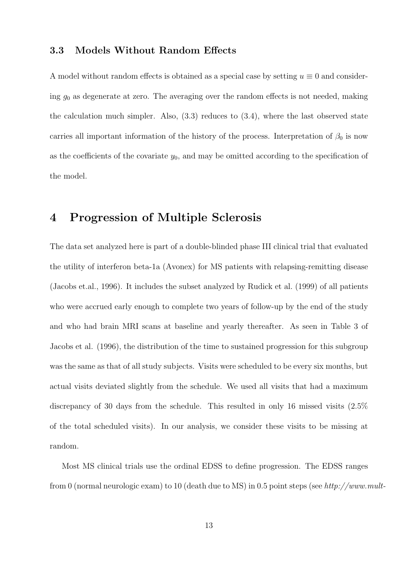#### 3.3 Models Without Random Effects

A model without random effects is obtained as a special case by setting  $u \equiv 0$  and considering  $g_0$  as degenerate at zero. The averaging over the random effects is not needed, making the calculation much simpler. Also,  $(3.3)$  reduces to  $(3.4)$ , where the last observed state carries all important information of the history of the process. Interpretation of  $\beta_0$  is now as the coefficients of the covariate  $y_0$ , and may be omitted according to the specification of the model.

## 4 Progression of Multiple Sclerosis

The data set analyzed here is part of a double-blinded phase III clinical trial that evaluated the utility of interferon beta-1a (Avonex) for MS patients with relapsing-remitting disease (Jacobs et.al., 1996). It includes the subset analyzed by Rudick et al. (1999) of all patients who were accrued early enough to complete two years of follow-up by the end of the study and who had brain MRI scans at baseline and yearly thereafter. As seen in Table 3 of Jacobs et al. (1996), the distribution of the time to sustained progression for this subgroup was the same as that of all study subjects. Visits were scheduled to be every six months, but actual visits deviated slightly from the schedule. We used all visits that had a maximum discrepancy of 30 days from the schedule. This resulted in only 16 missed visits (2.5% of the total scheduled visits). In our analysis, we consider these visits to be missing at random.

Most MS clinical trials use the ordinal EDSS to define progression. The EDSS ranges from 0 (normal neurologic exam) to 10 (death due to MS) in 0.5 point steps (see http://www.mult-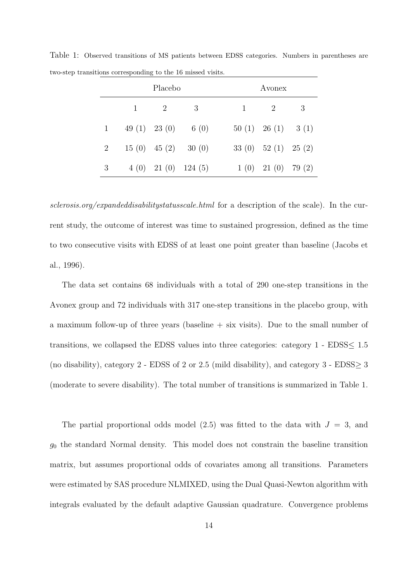|             | Placebo |                   |                         | Avonex                 |                        |  |
|-------------|---------|-------------------|-------------------------|------------------------|------------------------|--|
|             |         | $\overline{2}$    | 3                       | 2                      | 3                      |  |
| $1 \quad$   |         | 49 $(1)$ 23 $(0)$ | 6 $(0)$                 | $50(1)$ $26(1)$ $3(1)$ |                        |  |
| $2^{\circ}$ |         |                   | $15(0)$ $45(2)$ $30(0)$ | 33 (0) $52(1)$ $25(2)$ |                        |  |
| 3           |         |                   | $4(0)$ 21 (0) 124 (5)   |                        | $1(0)$ $21(0)$ $79(2)$ |  |

Table 1: Observed transitions of MS patients between EDSS categories. Numbers in parentheses are two-step transitions corresponding to the 16 missed visits.

sclerosis.org/expandeddisabilitystatusscale.html for a description of the scale). In the current study, the outcome of interest was time to sustained progression, defined as the time to two consecutive visits with EDSS of at least one point greater than baseline (Jacobs et al., 1996).

The data set contains 68 individuals with a total of 290 one-step transitions in the Avonex group and 72 individuals with 317 one-step transitions in the placebo group, with a maximum follow-up of three years (baseline  $+$  six visits). Due to the small number of transitions, we collapsed the EDSS values into three categories: category  $1$  - EDSS $\leq 1.5$ (no disability), category 2 - EDSS of 2 or 2.5 (mild disability), and category 3 - EDSS $\geq$  3 (moderate to severe disability). The total number of transitions is summarized in Table 1.

The partial proportional odds model  $(2.5)$  was fitted to the data with  $J = 3$ , and  $g_0$  the standard Normal density. This model does not constrain the baseline transition matrix, but assumes proportional odds of covariates among all transitions. Parameters were estimated by SAS procedure NLMIXED, using the Dual Quasi-Newton algorithm with integrals evaluated by the default adaptive Gaussian quadrature. Convergence problems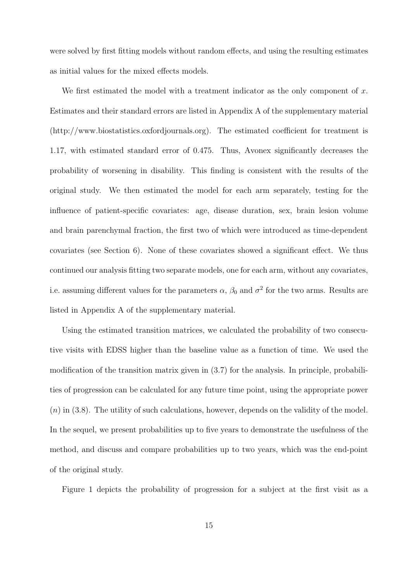were solved by first fitting models without random effects, and using the resulting estimates as initial values for the mixed effects models.

We first estimated the model with a treatment indicator as the only component of  $x$ . Estimates and their standard errors are listed in Appendix A of the supplementary material (http://www.biostatistics.oxfordjournals.org). The estimated coefficient for treatment is 1.17, with estimated standard error of 0.475. Thus, Avonex significantly decreases the probability of worsening in disability. This finding is consistent with the results of the original study. We then estimated the model for each arm separately, testing for the influence of patient-specific covariates: age, disease duration, sex, brain lesion volume and brain parenchymal fraction, the first two of which were introduced as time-dependent covariates (see Section 6). None of these covariates showed a significant effect. We thus continued our analysis fitting two separate models, one for each arm, without any covariates, i.e. assuming different values for the parameters  $\alpha$ ,  $\beta_0$  and  $\sigma^2$  for the two arms. Results are listed in Appendix A of the supplementary material.

Using the estimated transition matrices, we calculated the probability of two consecutive visits with EDSS higher than the baseline value as a function of time. We used the modification of the transition matrix given in (3.7) for the analysis. In principle, probabilities of progression can be calculated for any future time point, using the appropriate power  $(n)$  in (3.8). The utility of such calculations, however, depends on the validity of the model. In the sequel, we present probabilities up to five years to demonstrate the usefulness of the method, and discuss and compare probabilities up to two years, which was the end-point of the original study.

Figure 1 depicts the probability of progression for a subject at the first visit as a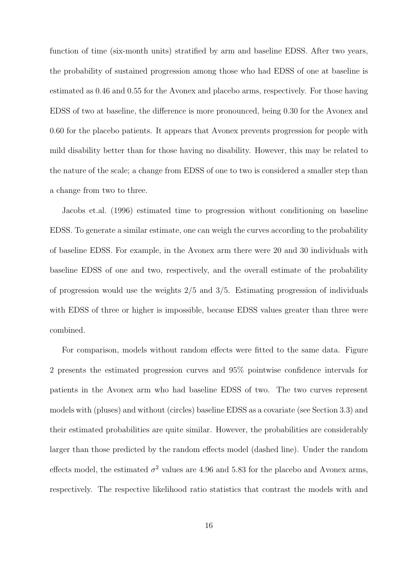function of time (six-month units) stratified by arm and baseline EDSS. After two years, the probability of sustained progression among those who had EDSS of one at baseline is estimated as 0.46 and 0.55 for the Avonex and placebo arms, respectively. For those having EDSS of two at baseline, the difference is more pronounced, being 0.30 for the Avonex and 0.60 for the placebo patients. It appears that Avonex prevents progression for people with mild disability better than for those having no disability. However, this may be related to the nature of the scale; a change from EDSS of one to two is considered a smaller step than a change from two to three.

Jacobs et.al. (1996) estimated time to progression without conditioning on baseline EDSS. To generate a similar estimate, one can weigh the curves according to the probability of baseline EDSS. For example, in the Avonex arm there were 20 and 30 individuals with baseline EDSS of one and two, respectively, and the overall estimate of the probability of progression would use the weights 2/5 and 3/5. Estimating progression of individuals with EDSS of three or higher is impossible, because EDSS values greater than three were combined.

For comparison, models without random effects were fitted to the same data. Figure 2 presents the estimated progression curves and 95% pointwise confidence intervals for patients in the Avonex arm who had baseline EDSS of two. The two curves represent models with (pluses) and without (circles) baseline EDSS as a covariate (see Section 3.3) and their estimated probabilities are quite similar. However, the probabilities are considerably larger than those predicted by the random effects model (dashed line). Under the random effects model, the estimated  $\sigma^2$  values are 4.96 and 5.83 for the placebo and Avonex arms, respectively. The respective likelihood ratio statistics that contrast the models with and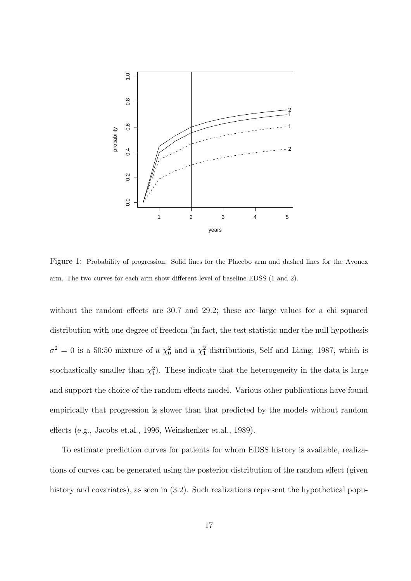

Figure 1: Probability of progression. Solid lines for the Placebo arm and dashed lines for the Avonex arm. The two curves for each arm show different level of baseline EDSS (1 and 2).

without the random effects are 30.7 and 29.2; these are large values for a chi squared distribution with one degree of freedom (in fact, the test statistic under the null hypothesis  $\sigma^2 = 0$  is a 50:50 mixture of a  $\chi_0^2$  and a  $\chi_1^2$  distributions, Self and Liang, 1987, which is stochastically smaller than  $\chi_1^2$ ). These indicate that the heterogeneity in the data is large and support the choice of the random effects model. Various other publications have found empirically that progression is slower than that predicted by the models without random effects (e.g., Jacobs et.al., 1996, Weinshenker et.al., 1989).

To estimate prediction curves for patients for whom EDSS history is available, realizations of curves can be generated using the posterior distribution of the random effect (given history and covariates), as seen in  $(3.2)$ . Such realizations represent the hypothetical popu-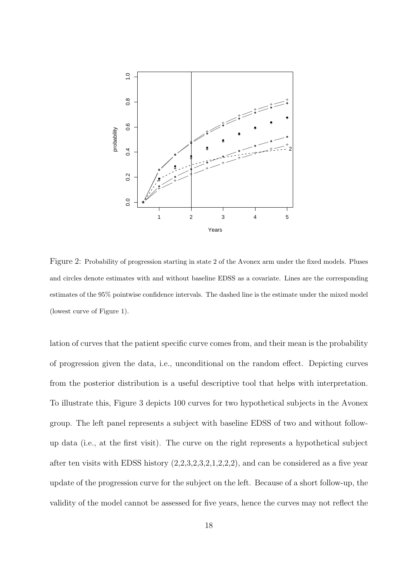

Figure 2: Probability of progression starting in state 2 of the Avonex arm under the fixed models. Pluses and circles denote estimates with and without baseline EDSS as a covariate. Lines are the corresponding estimates of the 95% pointwise confidence intervals. The dashed line is the estimate under the mixed model (lowest curve of Figure 1).

lation of curves that the patient specific curve comes from, and their mean is the probability of progression given the data, i.e., unconditional on the random effect. Depicting curves from the posterior distribution is a useful descriptive tool that helps with interpretation. To illustrate this, Figure 3 depicts 100 curves for two hypothetical subjects in the Avonex group. The left panel represents a subject with baseline EDSS of two and without followup data (i.e., at the first visit). The curve on the right represents a hypothetical subject after ten visits with EDSS history  $(2,2,3,2,3,2,1,2,2,2)$ , and can be considered as a five year update of the progression curve for the subject on the left. Because of a short follow-up, the validity of the model cannot be assessed for five years, hence the curves may not reflect the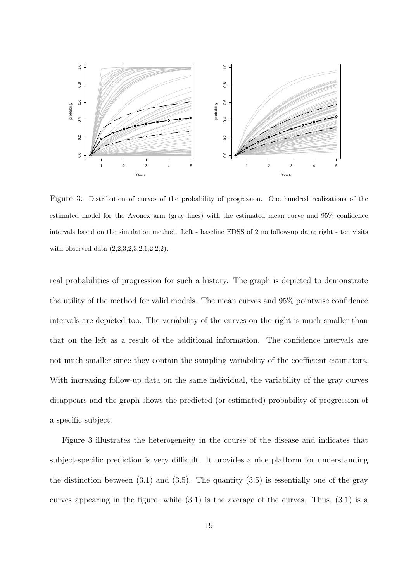

Figure 3: Distribution of curves of the probability of progression. One hundred realizations of the estimated model for the Avonex arm (gray lines) with the estimated mean curve and 95% confidence intervals based on the simulation method. Left - baseline EDSS of 2 no follow-up data; right - ten visits with observed data  $(2,2,3,2,3,2,1,2,2,2)$ .

real probabilities of progression for such a history. The graph is depicted to demonstrate the utility of the method for valid models. The mean curves and 95% pointwise confidence intervals are depicted too. The variability of the curves on the right is much smaller than that on the left as a result of the additional information. The confidence intervals are not much smaller since they contain the sampling variability of the coefficient estimators. With increasing follow-up data on the same individual, the variability of the gray curves disappears and the graph shows the predicted (or estimated) probability of progression of a specific subject.

Figure 3 illustrates the heterogeneity in the course of the disease and indicates that subject-specific prediction is very difficult. It provides a nice platform for understanding the distinction between  $(3.1)$  and  $(3.5)$ . The quantity  $(3.5)$  is essentially one of the gray curves appearing in the figure, while (3.1) is the average of the curves. Thus, (3.1) is a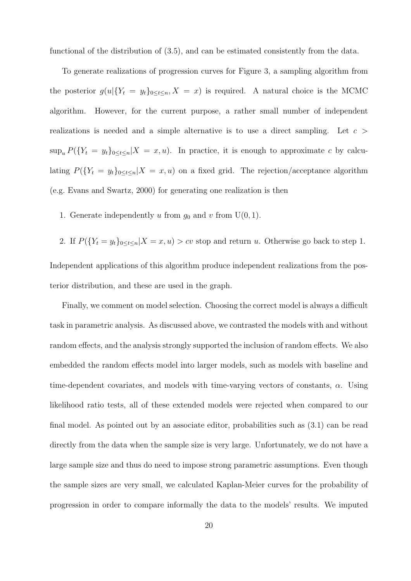functional of the distribution of (3.5), and can be estimated consistently from the data.

To generate realizations of progression curves for Figure 3, a sampling algorithm from the posterior  $g(u|\{Y_t = y_t\}_{0 \le t \le n}, X = x)$  is required. A natural choice is the MCMC algorithm. However, for the current purpose, a rather small number of independent realizations is needed and a simple alternative is to use a direct sampling. Let  $c >$  $\sup_u P(\{Y_t = y_t\}_{0 \le t \le n} | X = x, u)$ . In practice, it is enough to approximate c by calculating  $P({Y_t = y_t}_{0 \le t \le n | X = x, u})$  on a fixed grid. The rejection/acceptance algorithm (e.g. Evans and Swartz, 2000) for generating one realization is then

1. Generate independently u from  $g_0$  and v from  $U(0, 1)$ .

2. If  $P({Y_t = y_t}_{0 \le t \le n} | X = x, u) > cv$  stop and return u. Otherwise go back to step 1. Independent applications of this algorithm produce independent realizations from the posterior distribution, and these are used in the graph.

Finally, we comment on model selection. Choosing the correct model is always a difficult task in parametric analysis. As discussed above, we contrasted the models with and without random effects, and the analysis strongly supported the inclusion of random effects. We also embedded the random effects model into larger models, such as models with baseline and time-dependent covariates, and models with time-varying vectors of constants,  $\alpha$ . Using likelihood ratio tests, all of these extended models were rejected when compared to our final model. As pointed out by an associate editor, probabilities such as (3.1) can be read directly from the data when the sample size is very large. Unfortunately, we do not have a large sample size and thus do need to impose strong parametric assumptions. Even though the sample sizes are very small, we calculated Kaplan-Meier curves for the probability of progression in order to compare informally the data to the models' results. We imputed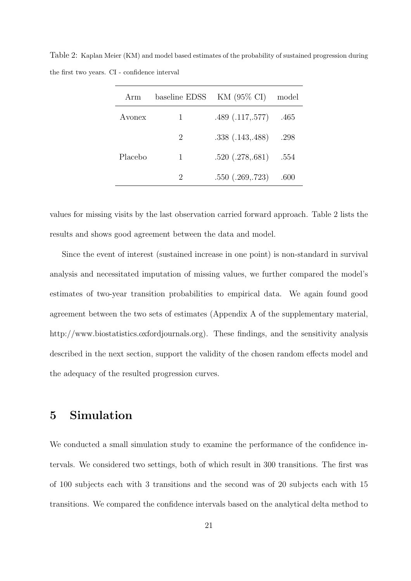Table 2: Kaplan Meier (KM) and model based estimates of the probability of sustained progression during the first two years. CI - confidence interval

| Arm     | baseline EDSS               | KM $(95\% \text{ CI})$ | model |
|---------|-----------------------------|------------------------|-------|
| Avonex  | 1                           | .489(.117,.577)        | .465  |
|         | $\mathcal{D}_{\mathcal{L}}$ | .338(.143,.488)        | .298  |
| Placebo | 1                           | .520(.278, .681)       | .554  |
|         | $\mathcal{D}$               | .550(.269,.723)        | .600  |

values for missing visits by the last observation carried forward approach. Table 2 lists the results and shows good agreement between the data and model.

Since the event of interest (sustained increase in one point) is non-standard in survival analysis and necessitated imputation of missing values, we further compared the model's estimates of two-year transition probabilities to empirical data. We again found good agreement between the two sets of estimates (Appendix A of the supplementary material, http://www.biostatistics.oxfordjournals.org). These findings, and the sensitivity analysis described in the next section, support the validity of the chosen random effects model and the adequacy of the resulted progression curves.

## 5 Simulation

We conducted a small simulation study to examine the performance of the confidence intervals. We considered two settings, both of which result in 300 transitions. The first was of 100 subjects each with 3 transitions and the second was of 20 subjects each with 15 transitions. We compared the confidence intervals based on the analytical delta method to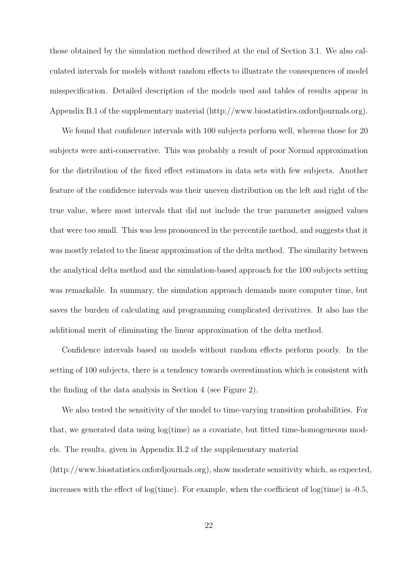those obtained by the simulation method described at the end of Section 3.1. We also calculated intervals for models without random effects to illustrate the consequences of model misspecification. Detailed description of the models used and tables of results appear in Appendix B.1 of the supplementary material (http://www.biostatistics.oxfordjournals.org).

We found that confidence intervals with 100 subjects perform well, whereas those for 20 subjects were anti-conservative. This was probably a result of poor Normal approximation for the distribution of the fixed effect estimators in data sets with few subjects. Another feature of the confidence intervals was their uneven distribution on the left and right of the true value, where most intervals that did not include the true parameter assigned values that were too small. This was less pronounced in the percentile method, and suggests that it was mostly related to the linear approximation of the delta method. The similarity between the analytical delta method and the simulation-based approach for the 100 subjects setting was remarkable. In summary, the simulation approach demands more computer time, but saves the burden of calculating and programming complicated derivatives. It also has the additional merit of eliminating the linear approximation of the delta method.

Confidence intervals based on models without random effects perform poorly. In the setting of 100 subjects, there is a tendency towards overestimation which is consistent with the finding of the data analysis in Section 4 (see Figure 2).

We also tested the sensitivity of the model to time-varying transition probabilities. For that, we generated data using log(time) as a covariate, but fitted time-homogeneous models. The results, given in Appendix B.2 of the supplementary material (http://www.biostatistics.oxfordjournals.org), show moderate sensitivity which, as expected, increases with the effect of  $log(time)$ . For example, when the coefficient of  $log(time)$  is -0.5,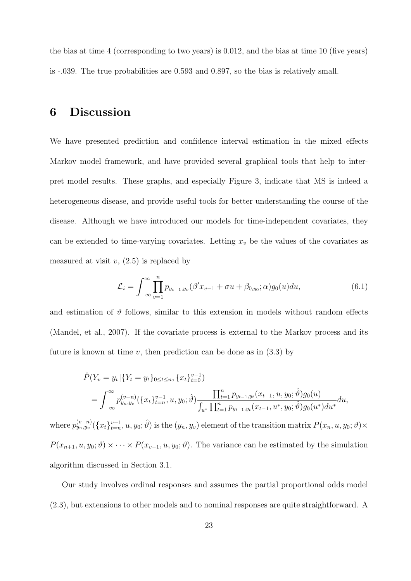the bias at time 4 (corresponding to two years) is 0.012, and the bias at time 10 (five years) is -.039. The true probabilities are 0.593 and 0.897, so the bias is relatively small.

## 6 Discussion

We have presented prediction and confidence interval estimation in the mixed effects Markov model framework, and have provided several graphical tools that help to interpret model results. These graphs, and especially Figure 3, indicate that MS is indeed a heterogeneous disease, and provide useful tools for better understanding the course of the disease. Although we have introduced our models for time-independent covariates, they can be extended to time-varying covariates. Letting  $x_v$  be the values of the covariates as measured at visit  $v$ ,  $(2.5)$  is replaced by

$$
\mathcal{L}_i = \int_{-\infty}^{\infty} \prod_{v=1}^{n} p_{y_{v-1}, y_v} (\beta' x_{v-1} + \sigma u + \beta_{0, y_0}; \alpha) g_0(u) du, \tag{6.1}
$$

and estimation of  $\vartheta$  follows, similar to this extension in models without random effects (Mandel, et al., 2007). If the covariate process is external to the Markov process and its future is known at time v, then prediction can be done as in  $(3.3)$  by

$$
\hat{P}(Y_v = y_v | \{ Y_t = y_t \}_{0 \le t \le n}, \{ x_t \}_{t=0}^{v-1})
$$
\n
$$
= \int_{-\infty}^{\infty} p_{y_n, y_v}^{(v-n)}(\{ x_t \}_{t=n}^{v-1}, u, y_0; \hat{\vartheta}) \frac{\prod_{t=1}^n p_{y_{t-1}, y_t}(x_{t-1}, u, y_0; \hat{\vartheta}) g_0(u)}{\int_{u^*} \prod_{t=1}^n p_{y_{t-1}, y_t}(x_{t-1}, u^*, y_0; \hat{\vartheta}) g_0(u^*) du^*} du,
$$

where  $p_{y_n,y_v}^{(v-n)}(\lbrace x_t \rbrace_{t=n}^{v-1}, u, y_0; \hat{\vartheta})$  is the  $(y_n, y_v)$  element of the transition matrix  $P(x_n, u, y_0; \vartheta) \times$  $P(x_{n+1}, u, y_0; \vartheta) \times \cdots \times P(x_{v-1}, u, y_0; \vartheta)$ . The variance can be estimated by the simulation algorithm discussed in Section 3.1.

Our study involves ordinal responses and assumes the partial proportional odds model (2.3), but extensions to other models and to nominal responses are quite straightforward. A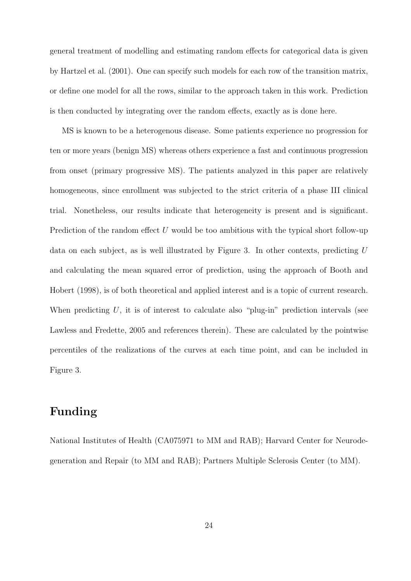general treatment of modelling and estimating random effects for categorical data is given by Hartzel et al. (2001). One can specify such models for each row of the transition matrix, or define one model for all the rows, similar to the approach taken in this work. Prediction is then conducted by integrating over the random effects, exactly as is done here.

MS is known to be a heterogenous disease. Some patients experience no progression for ten or more years (benign MS) whereas others experience a fast and continuous progression from onset (primary progressive MS). The patients analyzed in this paper are relatively homogeneous, since enrollment was subjected to the strict criteria of a phase III clinical trial. Nonetheless, our results indicate that heterogeneity is present and is significant. Prediction of the random effect U would be too ambitious with the typical short follow-up data on each subject, as is well illustrated by Figure 3. In other contexts, predicting U and calculating the mean squared error of prediction, using the approach of Booth and Hobert (1998), is of both theoretical and applied interest and is a topic of current research. When predicting  $U$ , it is of interest to calculate also "plug-in" prediction intervals (see Lawless and Fredette, 2005 and references therein). These are calculated by the pointwise percentiles of the realizations of the curves at each time point, and can be included in Figure 3.

## Funding

National Institutes of Health (CA075971 to MM and RAB); Harvard Center for Neurodegeneration and Repair (to MM and RAB); Partners Multiple Sclerosis Center (to MM).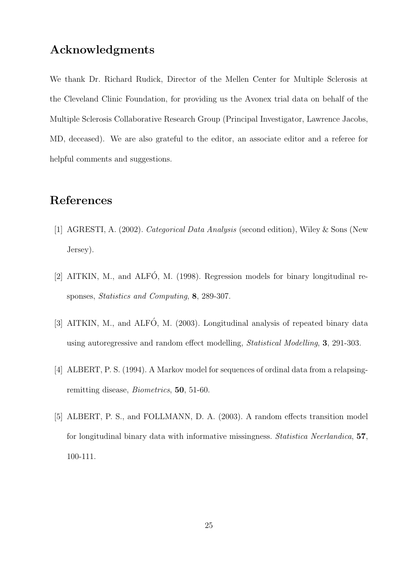## Acknowledgments

We thank Dr. Richard Rudick, Director of the Mellen Center for Multiple Sclerosis at the Cleveland Clinic Foundation, for providing us the Avonex trial data on behalf of the Multiple Sclerosis Collaborative Research Group (Principal Investigator, Lawrence Jacobs, MD, deceased). We are also grateful to the editor, an associate editor and a referee for helpful comments and suggestions.

# References

- [1] AGRESTI, A. (2002). Categorical Data Analysis (second edition), Wiley & Sons (New Jersey).
- [2] AITKIN, M., and ALFÓ, M. (1998). Regression models for binary longitudinal responses, Statistics and Computing, 8, 289-307.
- [3] AITKIN, M., and ALFÓ, M. (2003). Longitudinal analysis of repeated binary data using autoregressive and random effect modelling, Statistical Modelling, 3, 291-303.
- [4] ALBERT, P. S. (1994). A Markov model for sequences of ordinal data from a relapsingremitting disease, Biometrics, 50, 51-60.
- [5] ALBERT, P. S., and FOLLMANN, D. A. (2003). A random effects transition model for longitudinal binary data with informative missingness. Statistica Neerlandica, 57, 100-111.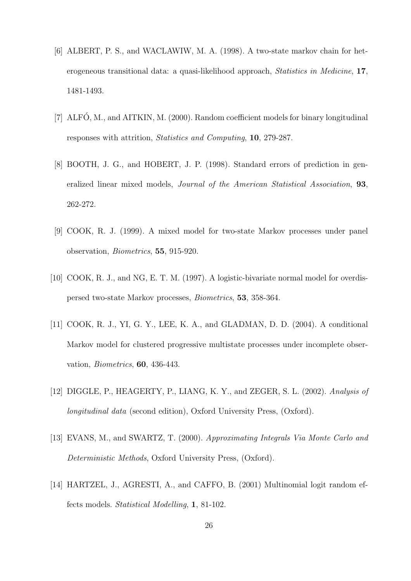- [6] ALBERT, P. S., and WACLAWIW, M. A. (1998). A two-state markov chain for heterogeneous transitional data: a quasi-likelihood approach, Statistics in Medicine, 17, 1481-1493.
- [7] ALFÓ, M., and AITKIN, M. (2000). Random coefficient models for binary longitudinal responses with attrition, Statistics and Computing, 10, 279-287.
- [8] BOOTH, J. G., and HOBERT, J. P. (1998). Standard errors of prediction in generalized linear mixed models, Journal of the American Statistical Association, 93, 262-272.
- [9] COOK, R. J. (1999). A mixed model for two-state Markov processes under panel observation, Biometrics, 55, 915-920.
- [10] COOK, R. J., and NG, E. T. M. (1997). A logistic-bivariate normal model for overdispersed two-state Markov processes, Biometrics, 53, 358-364.
- [11] COOK, R. J., YI, G. Y., LEE, K. A., and GLADMAN, D. D. (2004). A conditional Markov model for clustered progressive multistate processes under incomplete observation, Biometrics, 60, 436-443.
- [12] DIGGLE, P., HEAGERTY, P., LIANG, K. Y., and ZEGER, S. L. (2002). Analysis of longitudinal data (second edition), Oxford University Press, (Oxford).
- [13] EVANS, M., and SWARTZ, T. (2000). Approximating Integrals Via Monte Carlo and Deterministic Methods, Oxford University Press, (Oxford).
- [14] HARTZEL, J., AGRESTI, A., and CAFFO, B. (2001) Multinomial logit random effects models. Statistical Modelling, 1, 81-102.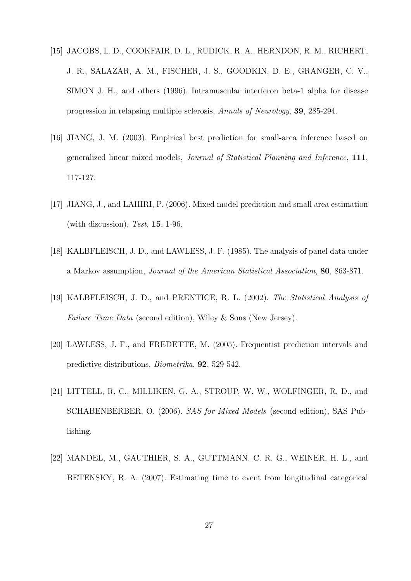- [15] JACOBS, L. D., COOKFAIR, D. L., RUDICK, R. A., HERNDON, R. M., RICHERT, J. R., SALAZAR, A. M., FISCHER, J. S., GOODKIN, D. E., GRANGER, C. V., SIMON J. H., and others (1996). Intramuscular interferon beta-1 alpha for disease progression in relapsing multiple sclerosis, Annals of Neurology, 39, 285-294.
- [16] JIANG, J. M. (2003). Empirical best prediction for small-area inference based on generalized linear mixed models, Journal of Statistical Planning and Inference, 111, 117-127.
- [17] JIANG, J., and LAHIRI, P. (2006). Mixed model prediction and small area estimation (with discussion), Test,  $15$ , 1-96.
- [18] KALBFLEISCH, J. D., and LAWLESS, J. F. (1985). The analysis of panel data under a Markov assumption, Journal of the American Statistical Association, 80, 863-871.
- [19] KALBFLEISCH, J. D., and PRENTICE, R. L. (2002). The Statistical Analysis of Failure Time Data (second edition), Wiley & Sons (New Jersey).
- [20] LAWLESS, J. F., and FREDETTE, M. (2005). Frequentist prediction intervals and predictive distributions, Biometrika, 92, 529-542.
- [21] LITTELL, R. C., MILLIKEN, G. A., STROUP, W. W., WOLFINGER, R. D., and SCHABENBERBER, O. (2006). SAS for Mixed Models (second edition), SAS Publishing.
- [22] MANDEL, M., GAUTHIER, S. A., GUTTMANN. C. R. G., WEINER, H. L., and BETENSKY, R. A. (2007). Estimating time to event from longitudinal categorical